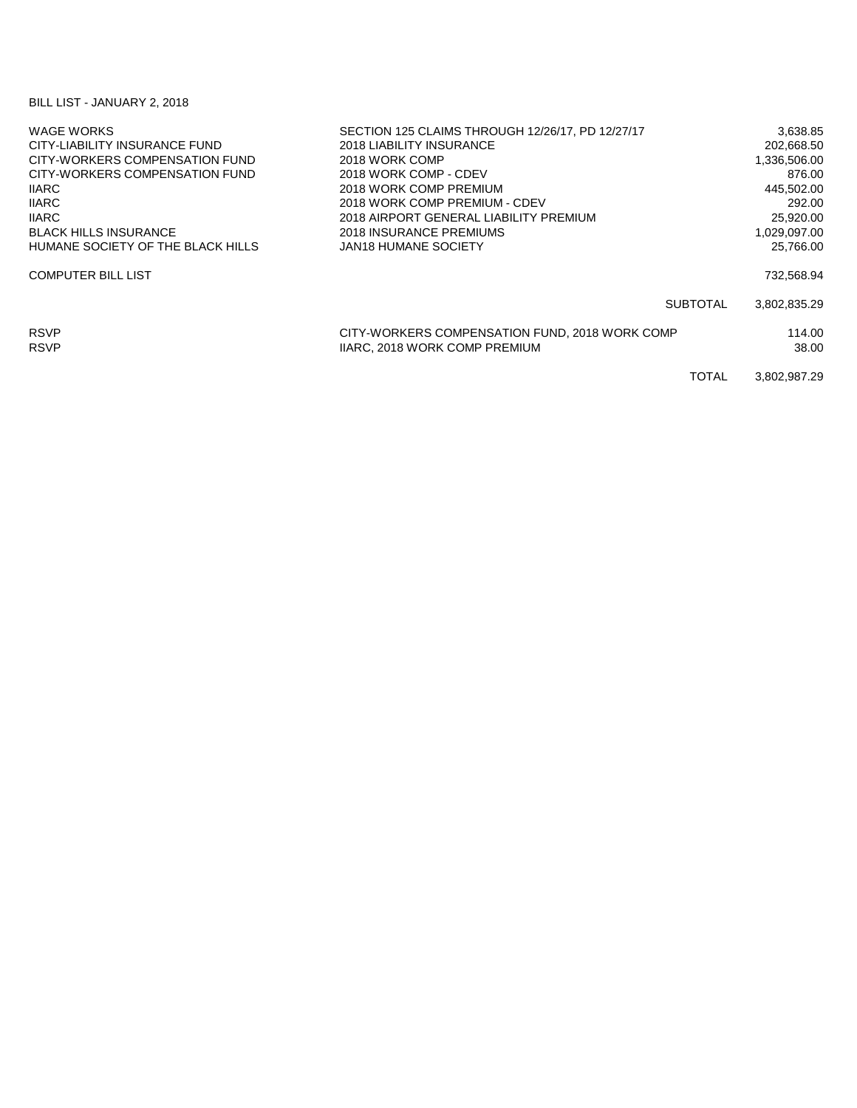## BILL LIST - JANUARY 2, 2018

| WAGE WORKS<br>CITY-LIABILITY INSURANCE FUND<br>CITY-WORKERS COMPENSATION FUND<br>CITY-WORKERS COMPENSATION FUND<br><b>IIARC</b><br><b>IIARC</b><br><b>IIARC</b><br><b>BLACK HILLS INSURANCE</b><br>HUMANE SOCIETY OF THE BLACK HILLS<br><b>COMPUTER BILL LIST</b> | SECTION 125 CLAIMS THROUGH 12/26/17, PD 12/27/17<br>2018 LIABILITY INSURANCE<br>2018 WORK COMP<br>2018 WORK COMP - CDEV<br>2018 WORK COMP PREMIUM<br>2018 WORK COMP PREMIUM - CDEV<br>2018 AIRPORT GENERAL LIABILITY PREMIUM<br>2018 INSURANCE PREMIUMS<br><b>JAN18 HUMANE SOCIETY</b> | 3,638.85<br>202,668.50<br>1.336.506.00<br>876.00<br>445.502.00<br>292.00<br>25,920.00<br>1.029.097.00<br>25,766.00<br>732,568.94 |
|-------------------------------------------------------------------------------------------------------------------------------------------------------------------------------------------------------------------------------------------------------------------|----------------------------------------------------------------------------------------------------------------------------------------------------------------------------------------------------------------------------------------------------------------------------------------|----------------------------------------------------------------------------------------------------------------------------------|
| <b>RSVP</b>                                                                                                                                                                                                                                                       | <b>SUBTOTAL</b>                                                                                                                                                                                                                                                                        | 3,802,835.29                                                                                                                     |
| <b>RSVP</b>                                                                                                                                                                                                                                                       | CITY-WORKERS COMPENSATION FUND, 2018 WORK COMP<br>IIARC, 2018 WORK COMP PREMIUM                                                                                                                                                                                                        | 114.00<br>38.00                                                                                                                  |
|                                                                                                                                                                                                                                                                   | <b>TOTAL</b>                                                                                                                                                                                                                                                                           | 3.802.987.29                                                                                                                     |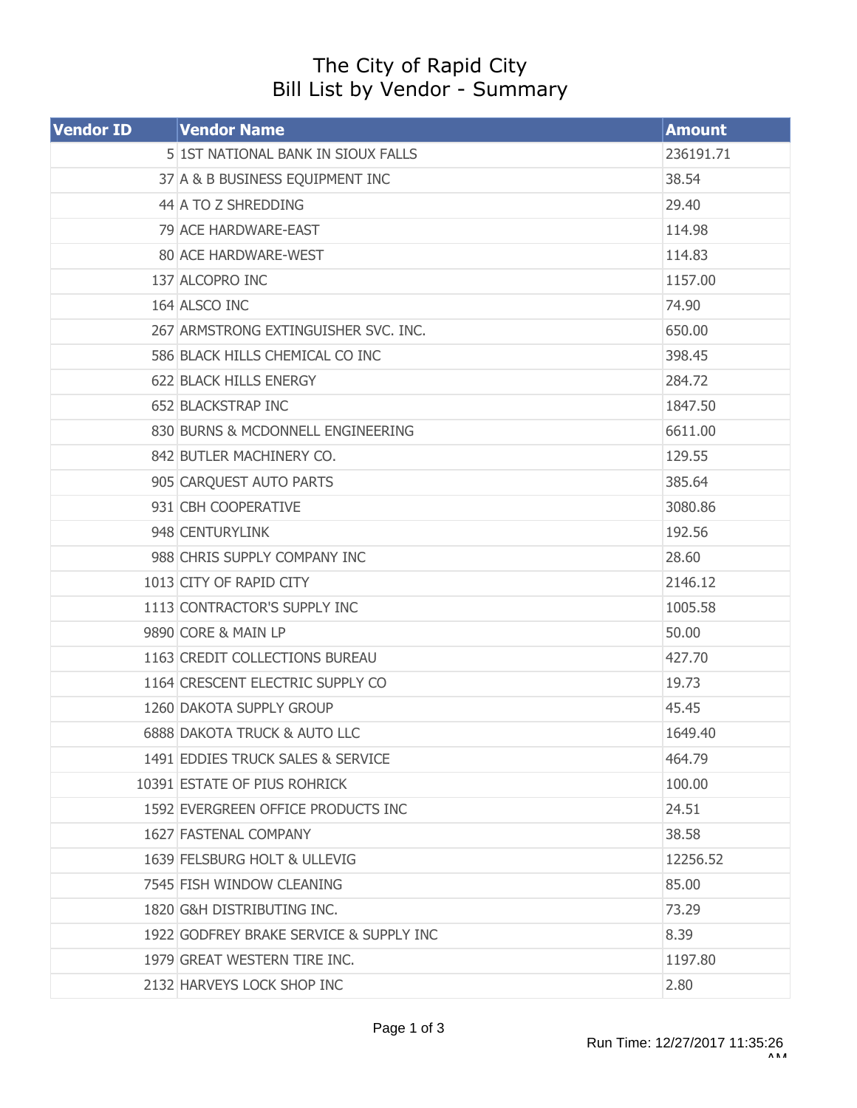## The City of Rapid City Bill List by Vendor - Summary

| <b>Vendor ID</b> | <b>Vendor Name</b>                      | <b>Amount</b> |
|------------------|-----------------------------------------|---------------|
|                  | 5 1ST NATIONAL BANK IN SIOUX FALLS      | 236191.71     |
|                  | 37 A & B BUSINESS EQUIPMENT INC         | 38.54         |
|                  | 44 A TO Z SHREDDING                     | 29.40         |
|                  | 79 ACE HARDWARE-EAST                    | 114.98        |
|                  | 80 ACE HARDWARE-WEST                    | 114.83        |
|                  | 137 ALCOPRO INC                         | 1157.00       |
|                  | 164 ALSCO INC                           | 74.90         |
|                  | 267 ARMSTRONG EXTINGUISHER SVC. INC.    | 650.00        |
|                  | 586 BLACK HILLS CHEMICAL CO INC         | 398.45        |
|                  | 622 BLACK HILLS ENERGY                  | 284.72        |
|                  | 652 BLACKSTRAP INC                      | 1847.50       |
|                  | 830 BURNS & MCDONNELL ENGINEERING       | 6611.00       |
|                  | 842 BUTLER MACHINERY CO.                | 129.55        |
|                  | 905 CARQUEST AUTO PARTS                 | 385.64        |
|                  | 931 CBH COOPERATIVE                     | 3080.86       |
|                  | 948 CENTURYLINK                         | 192.56        |
|                  | 988 CHRIS SUPPLY COMPANY INC            | 28.60         |
|                  | 1013 CITY OF RAPID CITY                 | 2146.12       |
|                  | 1113 CONTRACTOR'S SUPPLY INC            | 1005.58       |
|                  | 9890 CORE & MAIN LP                     | 50.00         |
|                  | 1163 CREDIT COLLECTIONS BUREAU          | 427.70        |
|                  | 1164 CRESCENT ELECTRIC SUPPLY CO        | 19.73         |
|                  | 1260 DAKOTA SUPPLY GROUP                | 45.45         |
|                  | <b>6888 DAKOTA TRUCK &amp; AUTO LLC</b> | 1649.40       |
|                  | 1491 EDDIES TRUCK SALES & SERVICE       | 464.79        |
|                  | 10391 ESTATE OF PIUS ROHRICK            | 100.00        |
|                  | 1592 EVERGREEN OFFICE PRODUCTS INC      | 24.51         |
|                  | 1627 FASTENAL COMPANY                   | 38.58         |
|                  | 1639 FELSBURG HOLT & ULLEVIG            | 12256.52      |
|                  | 7545 FISH WINDOW CLEANING               | 85.00         |
|                  | 1820 G&H DISTRIBUTING INC.              | 73.29         |
|                  | 1922 GODFREY BRAKE SERVICE & SUPPLY INC | 8.39          |
|                  | 1979 GREAT WESTERN TIRE INC.            | 1197.80       |
|                  | 2132 HARVEYS LOCK SHOP INC              | 2.80          |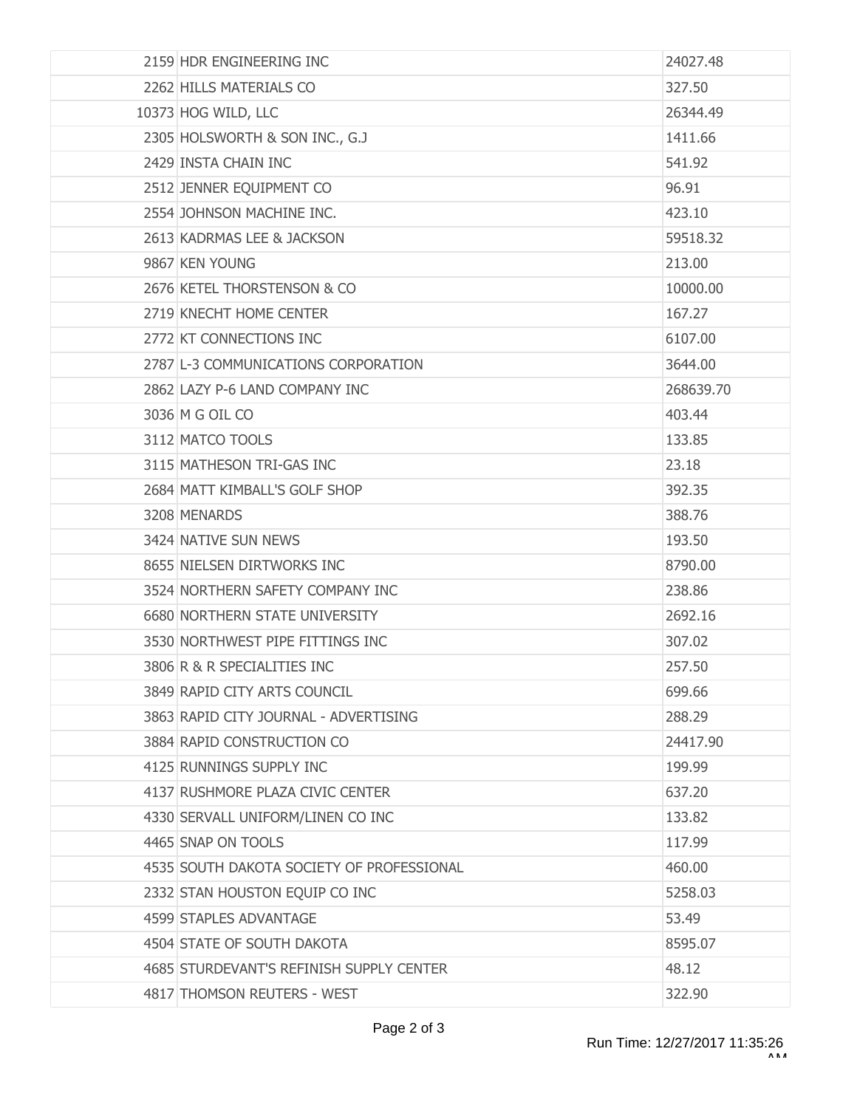| 2159 HDR ENGINEERING INC                  | 24027.48  |
|-------------------------------------------|-----------|
| 2262 HILLS MATERIALS CO                   | 327.50    |
| 10373 HOG WILD, LLC                       | 26344.49  |
| 2305 HOLSWORTH & SON INC., G.J            | 1411.66   |
| 2429 INSTA CHAIN INC                      | 541.92    |
| 2512 JENNER EQUIPMENT CO                  | 96.91     |
| 2554 JOHNSON MACHINE INC.                 | 423.10    |
| 2613 KADRMAS LEE & JACKSON                | 59518.32  |
| 9867 KEN YOUNG                            | 213.00    |
| 2676 KETEL THORSTENSON & CO               | 10000.00  |
| 2719 KNECHT HOME CENTER                   | 167.27    |
| 2772 KT CONNECTIONS INC                   | 6107.00   |
| 2787 L-3 COMMUNICATIONS CORPORATION       | 3644.00   |
| 2862 LAZY P-6 LAND COMPANY INC            | 268639.70 |
| 3036 M G OIL CO                           | 403.44    |
| 3112 MATCO TOOLS                          | 133.85    |
| 3115 MATHESON TRI-GAS INC                 | 23.18     |
| 2684 MATT KIMBALL'S GOLF SHOP             | 392.35    |
| 3208 MENARDS                              | 388.76    |
| 3424 NATIVE SUN NEWS                      | 193.50    |
| 8655 NIELSEN DIRTWORKS INC                | 8790.00   |
| 3524 NORTHERN SAFETY COMPANY INC          | 238.86    |
| 6680 NORTHERN STATE UNIVERSITY            | 2692.16   |
| 3530 NORTHWEST PIPE FITTINGS INC          | 307.02    |
| 3806 R & R SPECIALITIES INC               | 257.50    |
| 3849 RAPID CITY ARTS COUNCIL              | 699.66    |
| 3863 RAPID CITY JOURNAL - ADVERTISING     | 288.29    |
| 3884 RAPID CONSTRUCTION CO                | 24417.90  |
| 4125 RUNNINGS SUPPLY INC                  | 199.99    |
| 4137 RUSHMORE PLAZA CIVIC CENTER          | 637.20    |
| 4330 SERVALL UNIFORM/LINEN CO INC         | 133.82    |
| 4465 SNAP ON TOOLS                        | 117.99    |
| 4535 SOUTH DAKOTA SOCIETY OF PROFESSIONAL | 460.00    |
| 2332 STAN HOUSTON EQUIP CO INC            | 5258.03   |
| 4599 STAPLES ADVANTAGE                    | 53.49     |
| 4504 STATE OF SOUTH DAKOTA                | 8595.07   |
| 4685 STURDEVANT'S REFINISH SUPPLY CENTER  | 48.12     |
| 4817 THOMSON REUTERS - WEST               | 322.90    |